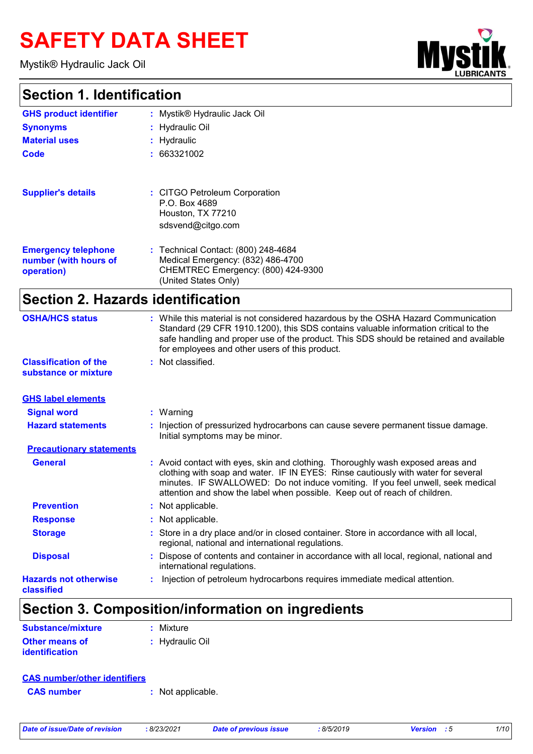# **SAFETY DATA SHEET**

Mystik® Hydraulic Jack Oil

### **Section 1. Identification**

| <b>UBRICANTS</b> | $\sigma$ |
|------------------|----------|

| <b>GHS product identifier</b>                                     | : Mystik® Hydraulic Jack Oil                                                                                                           |
|-------------------------------------------------------------------|----------------------------------------------------------------------------------------------------------------------------------------|
| <b>Synonyms</b>                                                   | : Hydraulic Oil                                                                                                                        |
| <b>Material uses</b>                                              | $:$ Hydraulic                                                                                                                          |
| Code                                                              | : 663321002                                                                                                                            |
| <b>Supplier's details</b>                                         | : CITGO Petroleum Corporation<br>P.O. Box 4689<br>Houston, TX 77210<br>sdsvend@citgo.com                                               |
| <b>Emergency telephone</b><br>number (with hours of<br>operation) | : Technical Contact: (800) 248-4684<br>Medical Emergency: (832) 486-4700<br>CHEMTREC Emergency: (800) 424-9300<br>(United States Only) |

### **Section 2. Hazards identification**

| <b>OSHA/HCS status</b>                               | : While this material is not considered hazardous by the OSHA Hazard Communication<br>Standard (29 CFR 1910.1200), this SDS contains valuable information critical to the<br>safe handling and proper use of the product. This SDS should be retained and available<br>for employees and other users of this product.                 |
|------------------------------------------------------|---------------------------------------------------------------------------------------------------------------------------------------------------------------------------------------------------------------------------------------------------------------------------------------------------------------------------------------|
| <b>Classification of the</b><br>substance or mixture | : Not classified.                                                                                                                                                                                                                                                                                                                     |
| <b>GHS label elements</b>                            |                                                                                                                                                                                                                                                                                                                                       |
| <b>Signal word</b>                                   | $:$ Warning                                                                                                                                                                                                                                                                                                                           |
| <b>Hazard statements</b>                             | Injection of pressurized hydrocarbons can cause severe permanent tissue damage.<br>Initial symptoms may be minor.                                                                                                                                                                                                                     |
| <b>Precautionary statements</b>                      |                                                                                                                                                                                                                                                                                                                                       |
| <b>General</b>                                       | : Avoid contact with eyes, skin and clothing. Thoroughly wash exposed areas and<br>clothing with soap and water. IF IN EYES: Rinse cautiously with water for several<br>minutes. IF SWALLOWED: Do not induce vomiting. If you feel unwell, seek medical<br>attention and show the label when possible. Keep out of reach of children. |
| <b>Prevention</b>                                    | : Not applicable.                                                                                                                                                                                                                                                                                                                     |
| <b>Response</b>                                      | : Not applicable.                                                                                                                                                                                                                                                                                                                     |
| <b>Storage</b>                                       | : Store in a dry place and/or in closed container. Store in accordance with all local,<br>regional, national and international regulations.                                                                                                                                                                                           |
| <b>Disposal</b>                                      | Dispose of contents and container in accordance with all local, regional, national and<br>international regulations.                                                                                                                                                                                                                  |
| <b>Hazards not otherwise</b><br>classified           | Injection of petroleum hydrocarbons requires immediate medical attention.                                                                                                                                                                                                                                                             |

### **Section 3. Composition/information on ingredients**

| Substance/mixture     | : Mixture       |
|-----------------------|-----------------|
| <b>Other means of</b> | : Hydraulic Oil |
| <b>identification</b> |                 |

#### **CAS number/other identifiers**

**CAS number :** Not applicable.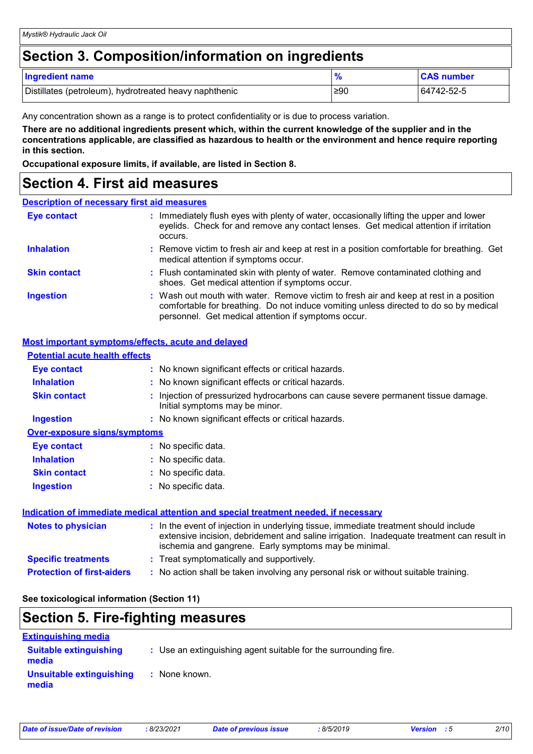### **Section 3. Composition/information on ingredients**

| <b>Ingredient name</b>                                 |     | <b>CAS number</b> |
|--------------------------------------------------------|-----|-------------------|
| Distillates (petroleum), hydrotreated heavy naphthenic | ≥90 | 64742-52-5        |

Any concentration shown as a range is to protect confidentiality or is due to process variation.

**There are no additional ingredients present which, within the current knowledge of the supplier and in the concentrations applicable, are classified as hazardous to health or the environment and hence require reporting in this section.**

**Occupational exposure limits, if available, are listed in Section 8.**

### **Section 4. First aid measures**

#### **Description of necessary first aid measures**

| <b>Eye contact</b>  | : Immediately flush eyes with plenty of water, occasionally lifting the upper and lower<br>eyelids. Check for and remove any contact lenses. Get medical attention if irritation<br>occurs.                                            |
|---------------------|----------------------------------------------------------------------------------------------------------------------------------------------------------------------------------------------------------------------------------------|
| <b>Inhalation</b>   | : Remove victim to fresh air and keep at rest in a position comfortable for breathing. Get<br>medical attention if symptoms occur.                                                                                                     |
| <b>Skin contact</b> | : Flush contaminated skin with plenty of water. Remove contaminated clothing and<br>shoes. Get medical attention if symptoms occur.                                                                                                    |
| <b>Ingestion</b>    | : Wash out mouth with water. Remove victim to fresh air and keep at rest in a position<br>comfortable for breathing. Do not induce vomiting unless directed to do so by medical<br>personnel. Get medical attention if symptoms occur. |

#### **Most important symptoms/effects, acute and delayed**

| <b>Potential acute health effects</b> |                                                                                                                                                                                                                                            |
|---------------------------------------|--------------------------------------------------------------------------------------------------------------------------------------------------------------------------------------------------------------------------------------------|
| <b>Eye contact</b>                    | : No known significant effects or critical hazards.                                                                                                                                                                                        |
| <b>Inhalation</b>                     | : No known significant effects or critical hazards.                                                                                                                                                                                        |
| <b>Skin contact</b>                   | : Injection of pressurized hydrocarbons can cause severe permanent tissue damage.<br>Initial symptoms may be minor.                                                                                                                        |
| <b>Ingestion</b>                      | : No known significant effects or critical hazards.                                                                                                                                                                                        |
| <b>Over-exposure signs/symptoms</b>   |                                                                                                                                                                                                                                            |
| Eye contact                           | : No specific data.                                                                                                                                                                                                                        |
| <b>Inhalation</b>                     | : No specific data.                                                                                                                                                                                                                        |
| <b>Skin contact</b>                   | : No specific data.                                                                                                                                                                                                                        |
| <b>Ingestion</b>                      | : No specific data.                                                                                                                                                                                                                        |
|                                       | Indication of immediate medical attention and special treatment needed, if necessary                                                                                                                                                       |
| <b>Notes to physician</b>             | : In the event of injection in underlying tissue, immediate treatment should include<br>extensive incision, debridement and saline irrigation. Inadequate treatment can result in<br>ischemia and gangrene. Early symptoms may be minimal. |
| <b>Specific treatments</b>            | : Treat symptomatically and supportively.                                                                                                                                                                                                  |
| <b>Protection of first-aiders</b>     | : No action shall be taken involving any personal risk or without suitable training.                                                                                                                                                       |

**See toxicological information (Section 11)**

### **Section 5. Fire-fighting measures**

| <b>Extinguishing media</b>             |                                                                 |
|----------------------------------------|-----------------------------------------------------------------|
| <b>Suitable extinguishing</b><br>media | : Use an extinguishing agent suitable for the surrounding fire. |
| Unsuitable extinguishing<br>media      | : None known.                                                   |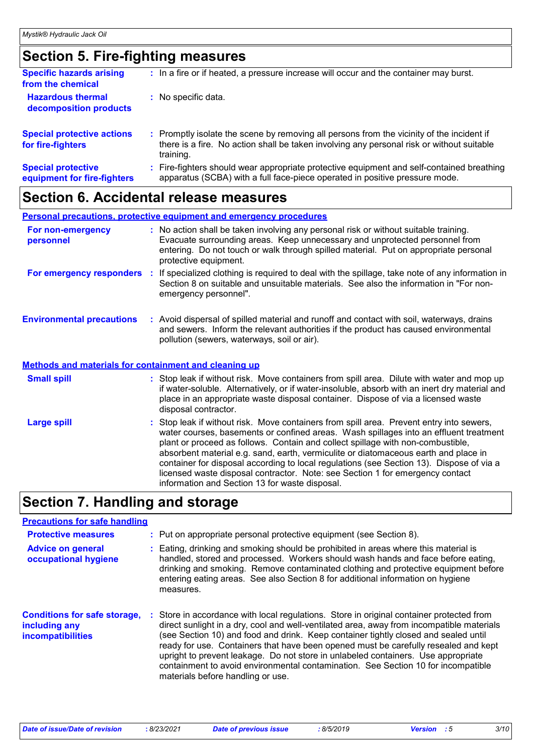### **Section 5. Fire-fighting measures**

| <b>Specific hazards arising</b><br>from the chemical     | : In a fire or if heated, a pressure increase will occur and the container may burst.                                                                                                               |
|----------------------------------------------------------|-----------------------------------------------------------------------------------------------------------------------------------------------------------------------------------------------------|
| <b>Hazardous thermal</b><br>decomposition products       | : No specific data.                                                                                                                                                                                 |
| <b>Special protective actions</b><br>for fire-fighters   | : Promptly isolate the scene by removing all persons from the vicinity of the incident if<br>there is a fire. No action shall be taken involving any personal risk or without suitable<br>training. |
| <b>Special protective</b><br>equipment for fire-fighters | Fire-fighters should wear appropriate protective equipment and self-contained breathing<br>apparatus (SCBA) with a full face-piece operated in positive pressure mode.                              |

### **Section 6. Accidental release measures**

|                                                              | <b>Personal precautions, protective equipment and emergency procedures</b>                                                                                                                                                                                                                               |
|--------------------------------------------------------------|----------------------------------------------------------------------------------------------------------------------------------------------------------------------------------------------------------------------------------------------------------------------------------------------------------|
| For non-emergency<br>personnel                               | : No action shall be taken involving any personal risk or without suitable training.<br>Evacuate surrounding areas. Keep unnecessary and unprotected personnel from<br>entering. Do not touch or walk through spilled material. Put on appropriate personal<br>protective equipment.                     |
|                                                              | For emergency responders : If specialized clothing is required to deal with the spillage, take note of any information in<br>Section 8 on suitable and unsuitable materials. See also the information in "For non-<br>emergency personnel".                                                              |
| <b>Environmental precautions</b>                             | : Avoid dispersal of spilled material and runoff and contact with soil, waterways, drains<br>and sewers. Inform the relevant authorities if the product has caused environmental<br>pollution (sewers, waterways, soil or air).                                                                          |
| <b>Methods and materials for containment and cleaning up</b> |                                                                                                                                                                                                                                                                                                          |
| <b>Small spill</b>                                           | : Stop leak if without risk. Move containers from spill area. Dilute with water and mop up<br>if water-soluble. Alternatively, or if water-insoluble, absorb with an inert dry material and<br>place in an appropriate waste disposal container. Dispose of via a licensed waste<br>disposal contractor. |
| <b>Large spill</b>                                           | : Stop leak if without risk. Move containers from spill area. Prevent entry into sewers,<br>water courses, basements or confined areas. Wash spillages into an effluent treatment                                                                                                                        |

water courses, basements or confined areas. Wash spillages into an effluent treatment plant or proceed as follows. Contain and collect spillage with non-combustible, absorbent material e.g. sand, earth, vermiculite or diatomaceous earth and place in container for disposal according to local regulations (see Section 13). Dispose of via a licensed waste disposal contractor. Note: see Section 1 for emergency contact information and Section 13 for waste disposal.

### **Section 7. Handling and storage**

### **Precautions for safe handling**

| <b>Protective measures</b>                                                       | : Put on appropriate personal protective equipment (see Section 8).                                                                                                                                                                                                                                                                                                                                                                                                                                                                                                              |
|----------------------------------------------------------------------------------|----------------------------------------------------------------------------------------------------------------------------------------------------------------------------------------------------------------------------------------------------------------------------------------------------------------------------------------------------------------------------------------------------------------------------------------------------------------------------------------------------------------------------------------------------------------------------------|
| <b>Advice on general</b><br>occupational hygiene                                 | Eating, drinking and smoking should be prohibited in areas where this material is<br>handled, stored and processed. Workers should wash hands and face before eating,<br>drinking and smoking. Remove contaminated clothing and protective equipment before<br>entering eating areas. See also Section 8 for additional information on hygiene<br>measures.                                                                                                                                                                                                                      |
| <b>Conditions for safe storage,</b><br>including any<br><b>incompatibilities</b> | Store in accordance with local regulations. Store in original container protected from<br>direct sunlight in a dry, cool and well-ventilated area, away from incompatible materials<br>(see Section 10) and food and drink. Keep container tightly closed and sealed until<br>ready for use. Containers that have been opened must be carefully resealed and kept<br>upright to prevent leakage. Do not store in unlabeled containers. Use appropriate<br>containment to avoid environmental contamination. See Section 10 for incompatible<br>materials before handling or use. |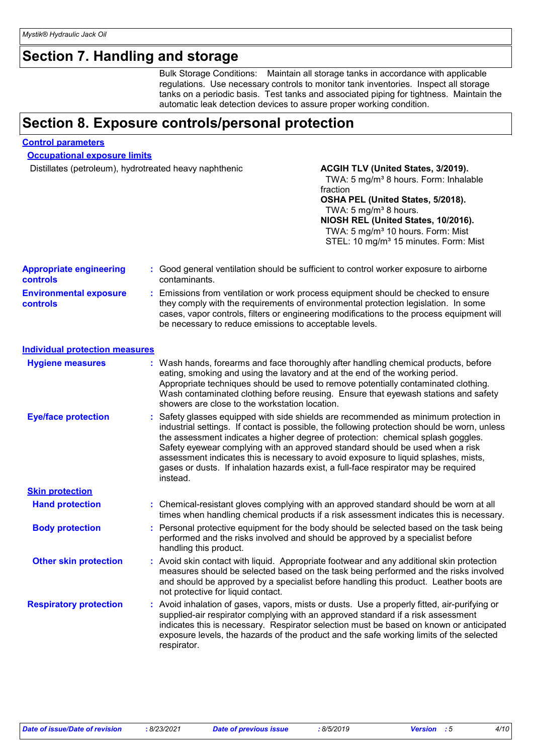### **Section 7. Handling and storage**

Bulk Storage Conditions: Maintain all storage tanks in accordance with applicable regulations. Use necessary controls to monitor tank inventories. Inspect all storage tanks on a periodic basis. Test tanks and associated piping for tightness. Maintain the automatic leak detection devices to assure proper working condition.

### **Section 8. Exposure controls/personal protection**

#### **Control parameters**

**Occupational exposure limits**

Distillates (petroleum), hydrotreated heavy naphthenic **ACGIH TLV (United States, 3/2019).** 

#### TWA: 5 mg/m<sup>3</sup> 8 hours. Form: Inhalable fraction **OSHA PEL (United States, 5/2018).** TWA:  $5 \text{ mg/m}^3$  8 hours. **NIOSH REL (United States, 10/2016).** TWA: 5 mg/m<sup>3</sup> 10 hours. Form: Mist STEL: 10 mg/m<sup>3</sup> 15 minutes. Form: Mist

| <b>Appropriate engineering</b><br>controls |    | : Good general ventilation should be sufficient to control worker exposure to airborne<br>contaminants.                                                                                                                                                                                                                                                                                                                                                                                                                                           |
|--------------------------------------------|----|---------------------------------------------------------------------------------------------------------------------------------------------------------------------------------------------------------------------------------------------------------------------------------------------------------------------------------------------------------------------------------------------------------------------------------------------------------------------------------------------------------------------------------------------------|
| <b>Environmental exposure</b><br>controls  | ÷. | Emissions from ventilation or work process equipment should be checked to ensure<br>they comply with the requirements of environmental protection legislation. In some<br>cases, vapor controls, filters or engineering modifications to the process equipment will<br>be necessary to reduce emissions to acceptable levels.                                                                                                                                                                                                                     |
| <b>Individual protection measures</b>      |    |                                                                                                                                                                                                                                                                                                                                                                                                                                                                                                                                                   |
| <b>Hygiene measures</b>                    |    | : Wash hands, forearms and face thoroughly after handling chemical products, before<br>eating, smoking and using the lavatory and at the end of the working period.<br>Appropriate techniques should be used to remove potentially contaminated clothing.<br>Wash contaminated clothing before reusing. Ensure that eyewash stations and safety<br>showers are close to the workstation location.                                                                                                                                                 |
| <b>Eye/face protection</b>                 |    | Safety glasses equipped with side shields are recommended as minimum protection in<br>industrial settings. If contact is possible, the following protection should be worn, unless<br>the assessment indicates a higher degree of protection: chemical splash goggles.<br>Safety eyewear complying with an approved standard should be used when a risk<br>assessment indicates this is necessary to avoid exposure to liquid splashes, mists,<br>gases or dusts. If inhalation hazards exist, a full-face respirator may be required<br>instead. |
| <b>Skin protection</b>                     |    |                                                                                                                                                                                                                                                                                                                                                                                                                                                                                                                                                   |
| <b>Hand protection</b>                     |    | : Chemical-resistant gloves complying with an approved standard should be worn at all<br>times when handling chemical products if a risk assessment indicates this is necessary.                                                                                                                                                                                                                                                                                                                                                                  |
| <b>Body protection</b>                     |    | Personal protective equipment for the body should be selected based on the task being<br>performed and the risks involved and should be approved by a specialist before<br>handling this product.                                                                                                                                                                                                                                                                                                                                                 |
| <b>Other skin protection</b>               |    | : Avoid skin contact with liquid. Appropriate footwear and any additional skin protection<br>measures should be selected based on the task being performed and the risks involved<br>and should be approved by a specialist before handling this product. Leather boots are<br>not protective for liquid contact.                                                                                                                                                                                                                                 |
| <b>Respiratory protection</b>              |    | : Avoid inhalation of gases, vapors, mists or dusts. Use a properly fitted, air-purifying or<br>supplied-air respirator complying with an approved standard if a risk assessment<br>indicates this is necessary. Respirator selection must be based on known or anticipated<br>exposure levels, the hazards of the product and the safe working limits of the selected<br>respirator.                                                                                                                                                             |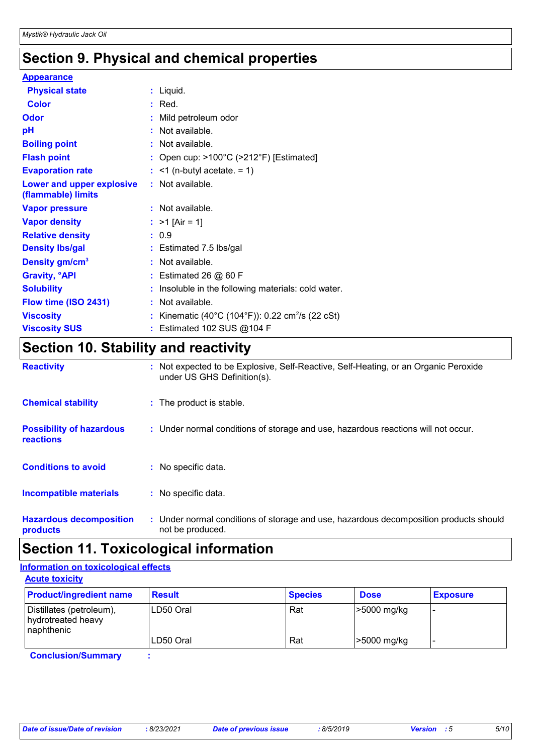### **Section 9. Physical and chemical properties**

| <b>Appearance</b>                               |                                                              |
|-------------------------------------------------|--------------------------------------------------------------|
| <b>Physical state</b>                           | $:$ Liquid.                                                  |
| <b>Color</b>                                    | $:$ Red.                                                     |
| <b>Odor</b>                                     | : Mild petroleum odor                                        |
| pH                                              | : Not available.                                             |
| <b>Boiling point</b>                            | $:$ Not available.                                           |
| <b>Flash point</b>                              | : Open cup: $>100^{\circ}$ C ( $>212^{\circ}$ F) [Estimated] |
| <b>Evaporation rate</b>                         | $:$ <1 (n-butyl acetate. = 1)                                |
| Lower and upper explosive<br>(flammable) limits | $:$ Not available.                                           |
| <b>Vapor pressure</b>                           | $:$ Not available.                                           |
| <b>Vapor density</b>                            | : $>1$ [Air = 1]                                             |
| <b>Relative density</b>                         | : 0.9                                                        |
| <b>Density Ibs/gal</b>                          | : Estimated 7.5 lbs/gal                                      |
| Density gm/cm <sup>3</sup>                      | : Not available.                                             |
| <b>Gravity, <sup>o</sup>API</b>                 | $:$ Estimated 26 $@$ 60 F                                    |
| <b>Solubility</b>                               | : Insoluble in the following materials: cold water.          |
| Flow time (ISO 2431)                            | : Not available.                                             |
| <b>Viscosity</b>                                | : Kinematic (40°C (104°F)): 0.22 cm <sup>2</sup> /s (22 cSt) |
| <b>Viscosity SUS</b>                            | : Estimated 102 SUS @104 F                                   |

### **Section 10. Stability and reactivity**

| <b>Reactivity</b>                            | : Not expected to be Explosive, Self-Reactive, Self-Heating, or an Organic Peroxide<br>under US GHS Definition(s). |
|----------------------------------------------|--------------------------------------------------------------------------------------------------------------------|
| <b>Chemical stability</b>                    | : The product is stable.                                                                                           |
| <b>Possibility of hazardous</b><br>reactions | : Under normal conditions of storage and use, hazardous reactions will not occur.                                  |
| <b>Conditions to avoid</b>                   | : No specific data.                                                                                                |
| <b>Incompatible materials</b>                | : No specific data.                                                                                                |
| <b>Hazardous decomposition</b><br>products   | : Under normal conditions of storage and use, hazardous decomposition products should<br>not be produced.          |

### **Section 11. Toxicological information**

#### **Acute toxicity Information on toxicological effects**

| <b>Product/ingredient name</b>                               | <b>Result</b> | <b>Species</b> | <b>Dose</b>   | <b>Exposure</b> |
|--------------------------------------------------------------|---------------|----------------|---------------|-----------------|
| Distillates (petroleum),<br>hydrotreated heavy<br>naphthenic | ILD50 Oral    | Rat            | -5000 mg/kg   | -               |
|                                                              | LD50 Oral     | Rat            | $>5000$ mg/kg | -               |

**Conclusion/Summary :**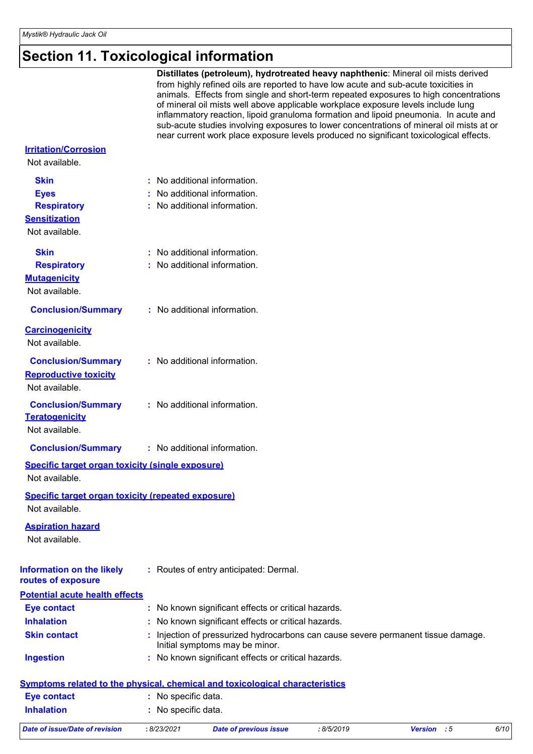# **Section 11. Toxicological information**

|                                                                             | Distillates (petroleum), hydrotreated heavy naphthenic: Mineral oil mists derived<br>from highly refined oils are reported to have low acute and sub-acute toxicities in<br>animals. Effects from single and short-term repeated exposures to high concentrations<br>of mineral oil mists well above applicable workplace exposure levels include lung<br>inflammatory reaction, lipoid granuloma formation and lipoid pneumonia. In acute and<br>sub-acute studies involving exposures to lower concentrations of mineral oil mists at or<br>near current work place exposure levels produced no significant toxicological effects. |
|-----------------------------------------------------------------------------|--------------------------------------------------------------------------------------------------------------------------------------------------------------------------------------------------------------------------------------------------------------------------------------------------------------------------------------------------------------------------------------------------------------------------------------------------------------------------------------------------------------------------------------------------------------------------------------------------------------------------------------|
| <b>Irritation/Corrosion</b><br>Not available.                               |                                                                                                                                                                                                                                                                                                                                                                                                                                                                                                                                                                                                                                      |
|                                                                             |                                                                                                                                                                                                                                                                                                                                                                                                                                                                                                                                                                                                                                      |
| <b>Skin</b>                                                                 | : No additional information.                                                                                                                                                                                                                                                                                                                                                                                                                                                                                                                                                                                                         |
| <b>Eyes</b>                                                                 | : No additional information.                                                                                                                                                                                                                                                                                                                                                                                                                                                                                                                                                                                                         |
| <b>Respiratory</b>                                                          | : No additional information.                                                                                                                                                                                                                                                                                                                                                                                                                                                                                                                                                                                                         |
| <b>Sensitization</b><br>Not available.                                      |                                                                                                                                                                                                                                                                                                                                                                                                                                                                                                                                                                                                                                      |
| <b>Skin</b>                                                                 | : No additional information.                                                                                                                                                                                                                                                                                                                                                                                                                                                                                                                                                                                                         |
| <b>Respiratory</b>                                                          | : No additional information.                                                                                                                                                                                                                                                                                                                                                                                                                                                                                                                                                                                                         |
| <b>Mutagenicity</b>                                                         |                                                                                                                                                                                                                                                                                                                                                                                                                                                                                                                                                                                                                                      |
| Not available.                                                              |                                                                                                                                                                                                                                                                                                                                                                                                                                                                                                                                                                                                                                      |
| <b>Conclusion/Summary</b>                                                   | : No additional information.                                                                                                                                                                                                                                                                                                                                                                                                                                                                                                                                                                                                         |
| <b>Carcinogenicity</b><br>Not available.                                    |                                                                                                                                                                                                                                                                                                                                                                                                                                                                                                                                                                                                                                      |
| <b>Conclusion/Summary</b>                                                   | : No additional information.                                                                                                                                                                                                                                                                                                                                                                                                                                                                                                                                                                                                         |
| <b>Reproductive toxicity</b><br>Not available.                              |                                                                                                                                                                                                                                                                                                                                                                                                                                                                                                                                                                                                                                      |
| <b>Conclusion/Summary</b><br><b>Teratogenicity</b><br>Not available.        | : No additional information.                                                                                                                                                                                                                                                                                                                                                                                                                                                                                                                                                                                                         |
| <b>Conclusion/Summary</b>                                                   | : No additional information.                                                                                                                                                                                                                                                                                                                                                                                                                                                                                                                                                                                                         |
| <b>Specific target organ toxicity (single exposure)</b><br>Not available.   |                                                                                                                                                                                                                                                                                                                                                                                                                                                                                                                                                                                                                                      |
| <b>Specific target organ toxicity (repeated exposure)</b><br>Not available. |                                                                                                                                                                                                                                                                                                                                                                                                                                                                                                                                                                                                                                      |
| <b>Aspiration hazard</b><br>Not available.                                  |                                                                                                                                                                                                                                                                                                                                                                                                                                                                                                                                                                                                                                      |
| <b>Information on the likely</b><br>routes of exposure                      | : Routes of entry anticipated: Dermal.                                                                                                                                                                                                                                                                                                                                                                                                                                                                                                                                                                                               |
| <b>Potential acute health effects</b>                                       |                                                                                                                                                                                                                                                                                                                                                                                                                                                                                                                                                                                                                                      |
| <b>Eye contact</b>                                                          | : No known significant effects or critical hazards.                                                                                                                                                                                                                                                                                                                                                                                                                                                                                                                                                                                  |
| <b>Inhalation</b>                                                           | : No known significant effects or critical hazards.                                                                                                                                                                                                                                                                                                                                                                                                                                                                                                                                                                                  |
| <b>Skin contact</b>                                                         | : Injection of pressurized hydrocarbons can cause severe permanent tissue damage.<br>Initial symptoms may be minor.                                                                                                                                                                                                                                                                                                                                                                                                                                                                                                                  |
| <b>Ingestion</b>                                                            | : No known significant effects or critical hazards.                                                                                                                                                                                                                                                                                                                                                                                                                                                                                                                                                                                  |
|                                                                             | <b>Symptoms related to the physical, chemical and toxicological characteristics</b>                                                                                                                                                                                                                                                                                                                                                                                                                                                                                                                                                  |
| <b>Eye contact</b>                                                          | : No specific data.                                                                                                                                                                                                                                                                                                                                                                                                                                                                                                                                                                                                                  |
| <b>Inhalation</b>                                                           | : No specific data.                                                                                                                                                                                                                                                                                                                                                                                                                                                                                                                                                                                                                  |
|                                                                             |                                                                                                                                                                                                                                                                                                                                                                                                                                                                                                                                                                                                                                      |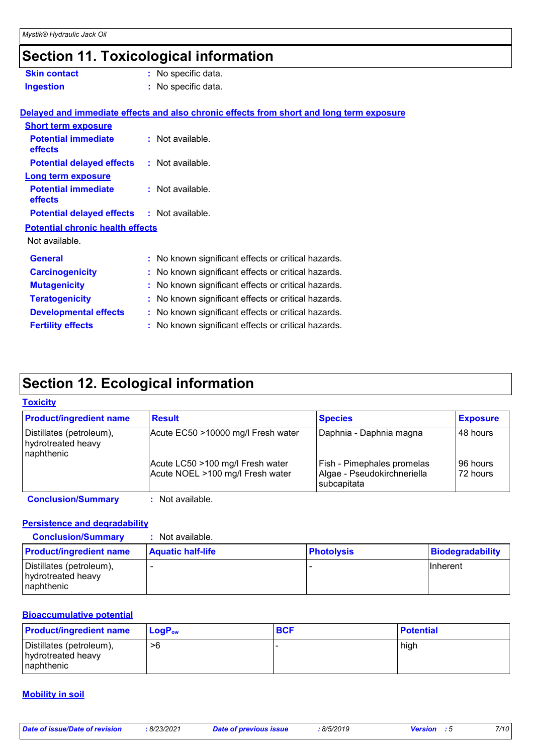## **Section 11. Toxicological information**

| <b>Skin contact</b>                          | : No specific data.                                                                      |
|----------------------------------------------|------------------------------------------------------------------------------------------|
| <b>Ingestion</b>                             | : No specific data.                                                                      |
|                                              |                                                                                          |
|                                              | Delayed and immediate effects and also chronic effects from short and long term exposure |
| <b>Short term exposure</b>                   |                                                                                          |
| <b>Potential immediate</b><br><b>effects</b> | : Not available.                                                                         |
| <b>Potential delayed effects</b>             | : Not available.                                                                         |
| <b>Long term exposure</b>                    |                                                                                          |
| <b>Potential immediate</b><br>effects        | $:$ Not available.                                                                       |
| <b>Potential delayed effects</b>             | : Not available.                                                                         |
| <b>Potential chronic health effects</b>      |                                                                                          |
| Not available.                               |                                                                                          |
| <b>General</b>                               | : No known significant effects or critical hazards.                                      |
| <b>Carcinogenicity</b>                       | : No known significant effects or critical hazards.                                      |
| <b>Mutagenicity</b>                          | : No known significant effects or critical hazards.                                      |
| <b>Teratogenicity</b>                        | : No known significant effects or critical hazards.                                      |
| <b>Developmental effects</b>                 | : No known significant effects or critical hazards.                                      |
| <b>Fertility effects</b>                     | : No known significant effects or critical hazards.                                      |
|                                              |                                                                                          |

### **Section 12. Ecological information**

#### **Toxicity**

| <b>Product/ingredient name</b>                               | <b>Result</b>                                                        | <b>Species</b>                                                           | <b>Exposure</b>      |
|--------------------------------------------------------------|----------------------------------------------------------------------|--------------------------------------------------------------------------|----------------------|
| Distillates (petroleum),<br>hydrotreated heavy<br>naphthenic | Acute EC50 >10000 mg/l Fresh water                                   | Daphnia - Daphnia magna                                                  | 48 hours             |
|                                                              | Acute LC50 >100 mg/l Fresh water<br>Acute NOEL >100 mg/l Fresh water | Fish - Pimephales promelas<br>Algae - Pseudokirchneriella<br>subcapitata | 96 hours<br>72 hours |
| <b>Conclusion/Summary</b>                                    | $:$ Not available.                                                   |                                                                          |                      |

#### **Persistence and degradability**

| <b>Conclusion/Summary</b>                                     | : Not available.         |                   |                  |
|---------------------------------------------------------------|--------------------------|-------------------|------------------|
| <b>Product/ingredient name</b>                                | <b>Aquatic half-life</b> | <b>Photolysis</b> | Biodegradability |
| Distillates (petroleum),<br>hydrotreated heavy<br>Inaphthenic |                          |                   | <b>IInherent</b> |

#### **Bioaccumulative potential**

| <b>Product/ingredient name</b>                                | $\mathsf{LogP}_\mathsf{ow}$ | <b>BCF</b> | <b>Potential</b> |
|---------------------------------------------------------------|-----------------------------|------------|------------------|
| Distillates (petroleum),<br>hydrotreated heavy<br>Inaphthenic | >6                          |            | high             |

#### **Mobility in soil**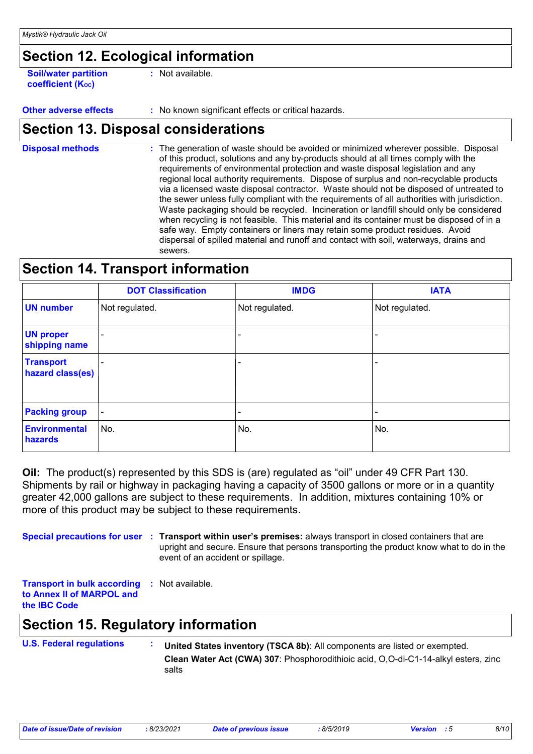### **Section 12. Ecological information**

**Soil/water partition coefficient (KOC) :** Not available.

**Other adverse effects** : No known significant effects or critical hazards.

### **Section 13. Disposal considerations**

The generation of waste should be avoided or minimized wherever possible. Disposal of this product, solutions and any by-products should at all times comply with the requirements of environmental protection and waste disposal legislation and any regional local authority requirements. Dispose of surplus and non-recyclable products via a licensed waste disposal contractor. Waste should not be disposed of untreated to the sewer unless fully compliant with the requirements of all authorities with jurisdiction. Waste packaging should be recycled. Incineration or landfill should only be considered when recycling is not feasible. This material and its container must be disposed of in a safe way. Empty containers or liners may retain some product residues. Avoid dispersal of spilled material and runoff and contact with soil, waterways, drains and sewers. **Disposal methods :**

### **Section 14. Transport information**

|                                      | <b>DOT Classification</b> | <b>IMDG</b>              | <b>IATA</b>    |
|--------------------------------------|---------------------------|--------------------------|----------------|
| <b>UN number</b>                     | Not regulated.            | Not regulated.           | Not regulated. |
| <b>UN proper</b><br>shipping name    |                           |                          |                |
| <b>Transport</b><br>hazard class(es) |                           | $\overline{\phantom{0}}$ |                |
| <b>Packing group</b>                 | $\overline{\phantom{a}}$  |                          |                |
| Environmental<br>hazards             | No.                       | No.                      | No.            |

**Oil:** The product(s) represented by this SDS is (are) regulated as "oil" under 49 CFR Part 130. Shipments by rail or highway in packaging having a capacity of 3500 gallons or more or in a quantity greater 42,000 gallons are subject to these requirements. In addition, mixtures containing 10% or more of this product may be subject to these requirements.

**Special precautions for user** : Transport within user's premises: always transport in closed containers that are upright and secure. Ensure that persons transporting the product know what to do in the event of an accident or spillage.

**Transport in bulk according :** Not available. **to Annex II of MARPOL and the IBC Code**

### **Section 15. Regulatory information**

**U.S. Federal regulations : Clean Water Act (CWA) 307**: Phosphorodithioic acid, O,O-di-C1-14-alkyl esters, zinc **United States inventory (TSCA 8b)**: All components are listed or exempted.

salts

*Date of issue/Date of revision* **:** *8/23/2021 Date of previous issue : 8/5/2019 Version : 5 8/10*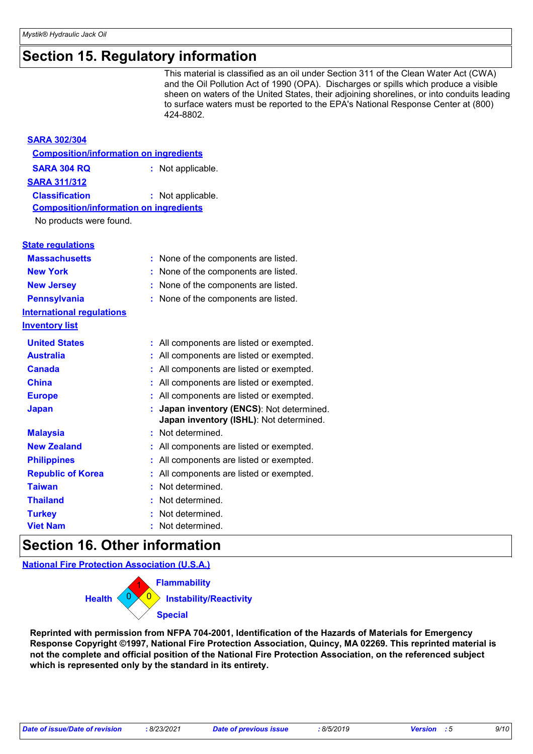### **Section 15. Regulatory information**

This material is classified as an oil under Section 311 of the Clean Water Act (CWA) and the Oil Pollution Act of 1990 (OPA). Discharges or spills which produce a visible sheen on waters of the United States, their adjoining shorelines, or into conduits leading to surface waters must be reported to the EPA's National Response Center at (800) 424-8802.

| <b>SARA 302/304</b>                           |                                                                                    |
|-----------------------------------------------|------------------------------------------------------------------------------------|
| <b>Composition/information on ingredients</b> |                                                                                    |
| <b>SARA 304 RQ</b>                            | : Not applicable.                                                                  |
| <b>SARA 311/312</b>                           |                                                                                    |
| <b>Classification</b>                         | : Not applicable.                                                                  |
| <b>Composition/information on ingredients</b> |                                                                                    |
| No products were found.                       |                                                                                    |
| <b>State requlations</b>                      |                                                                                    |
| <b>Massachusetts</b>                          | : None of the components are listed.                                               |
| <b>New York</b>                               | None of the components are listed.                                                 |
| <b>New Jersey</b>                             | None of the components are listed.                                                 |
| <b>Pennsylvania</b>                           | None of the components are listed.                                                 |
| <b>International requlations</b>              |                                                                                    |
| <b>Inventory list</b>                         |                                                                                    |
| <b>United States</b>                          | : All components are listed or exempted.                                           |
| <b>Australia</b>                              | : All components are listed or exempted.                                           |
| <b>Canada</b>                                 | All components are listed or exempted.                                             |
| <b>China</b>                                  | All components are listed or exempted.                                             |
| <b>Europe</b>                                 | All components are listed or exempted.                                             |
| <b>Japan</b>                                  | Japan inventory (ENCS): Not determined.<br>Japan inventory (ISHL): Not determined. |
| <b>Malaysia</b>                               | Not determined.                                                                    |
| <b>New Zealand</b>                            | All components are listed or exempted.                                             |
| <b>Philippines</b>                            | All components are listed or exempted.                                             |
| <b>Republic of Korea</b>                      | All components are listed or exempted.                                             |
| <b>Taiwan</b>                                 | Not determined.                                                                    |
| <b>Thailand</b>                               | Not determined.                                                                    |
| <b>Turkey</b>                                 | Not determined.                                                                    |
| <b>Viet Nam</b>                               | Not determined.                                                                    |

### **Section 16. Other information**

**National Fire Protection Association (U.S.A.)**



**Reprinted with permission from NFPA 704-2001, Identification of the Hazards of Materials for Emergency Response Copyright ©1997, National Fire Protection Association, Quincy, MA 02269. This reprinted material is not the complete and official position of the National Fire Protection Association, on the referenced subject which is represented only by the standard in its entirety.**